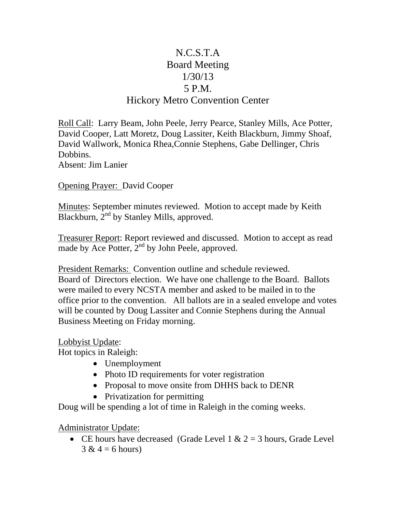## N.C.S.T.A Board Meeting 1/30/13 5 P.M. Hickory Metro Convention Center

Roll Call: Larry Beam, John Peele, Jerry Pearce, Stanley Mills, Ace Potter, David Cooper, Latt Moretz, Doug Lassiter, Keith Blackburn, Jimmy Shoaf, David Wallwork, Monica Rhea,Connie Stephens, Gabe Dellinger, Chris Dobbins. Absent: Jim Lanier

Opening Prayer: David Cooper

Minutes: September minutes reviewed. Motion to accept made by Keith Blackburn,  $2<sup>nd</sup>$  by Stanley Mills, approved.

Treasurer Report: Report reviewed and discussed. Motion to accept as read made by Ace Potter, 2<sup>nd</sup> by John Peele, approved.

President Remarks: Convention outline and schedule reviewed. Board of Directors election. We have one challenge to the Board. Ballots were mailed to every NCSTA member and asked to be mailed in to the office prior to the convention. All ballots are in a sealed envelope and votes will be counted by Doug Lassiter and Connie Stephens during the Annual Business Meeting on Friday morning.

Lobbyist Update:

Hot topics in Raleigh:

- Unemployment
- Photo ID requirements for voter registration
- Proposal to move onsite from DHHS back to DENR
- Privatization for permitting

Doug will be spending a lot of time in Raleigh in the coming weeks.

Administrator Update:

• CE hours have decreased (Grade Level  $1 \& 2 = 3$  hours, Grade Level  $3 & 4 = 6$  hours)